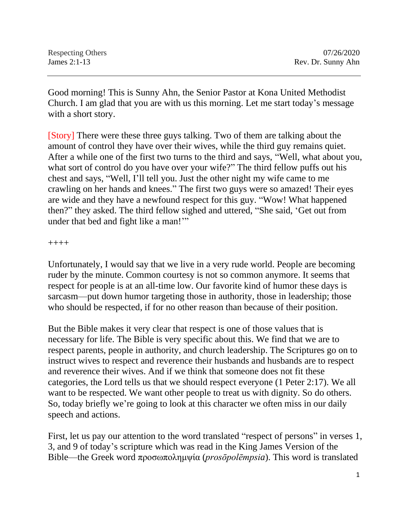| Respecting Others | 07/26/2020         |
|-------------------|--------------------|
| James $2:1-13$    | Rev. Dr. Sunny Ahn |

Good morning! This is Sunny Ahn, the Senior Pastor at Kona United Methodist Church. I am glad that you are with us this morning. Let me start today's message with a short story.

[Story] There were these three guys talking. Two of them are talking about the amount of control they have over their wives, while the third guy remains quiet. After a while one of the first two turns to the third and says, "Well, what about you, what sort of control do you have over your wife?" The third fellow puffs out his chest and says, "Well, I'll tell you. Just the other night my wife came to me crawling on her hands and knees." The first two guys were so amazed! Their eyes are wide and they have a newfound respect for this guy. "Wow! What happened then?" they asked. The third fellow sighed and uttered, "She said, 'Get out from under that bed and fight like a man!"

++++

Unfortunately, I would say that we live in a very rude world. People are becoming ruder by the minute. Common courtesy is not so common anymore. It seems that respect for people is at an all-time low. Our favorite kind of humor these days is sarcasm—put down humor targeting those in authority, those in leadership; those who should be respected, if for no other reason than because of their position.

But the Bible makes it very clear that respect is one of those values that is necessary for life. The Bible is very specific about this. We find that we are to respect parents, people in authority, and church leadership. The Scriptures go on to instruct wives to respect and reverence their husbands and husbands are to respect and reverence their wives. And if we think that someone does not fit these categories, the Lord tells us that we should respect everyone (1 Peter 2:17). We all want to be respected. We want other people to treat us with dignity. So do others. So, today briefly we're going to look at this character we often miss in our daily speech and actions.

First, let us pay our attention to the word translated "respect of persons" in verses 1, 3, and 9 of today's scripture which was read in the King James Version of the Bible—the Greek word προσωπολημψία (*prosōpolēmpsia*). This word is translated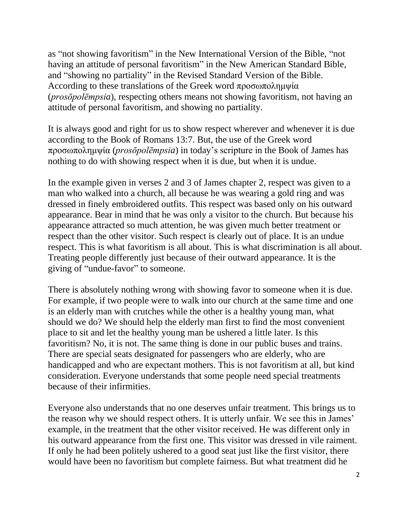as "not showing favoritism" in the New International Version of the Bible, "not having an attitude of personal favoritism" in the New American Standard Bible, and "showing no partiality" in the Revised Standard Version of the Bible. According to these translations of the Greek word προσωπολημψία (*prosōpolēmpsia*), respecting others means not showing favoritism, not having an attitude of personal favoritism, and showing no partiality.

It is always good and right for us to show respect wherever and whenever it is due according to the Book of Romans 13:7. But, the use of the Greek word προσωπολημψία (*prosōpolēmpsia*) in today's scripture in the Book of James has nothing to do with showing respect when it is due, but when it is undue.

In the example given in verses 2 and 3 of James chapter 2, respect was given to a man who walked into a church, all because he was wearing a gold ring and was dressed in finely embroidered outfits. This respect was based only on his outward appearance. Bear in mind that he was only a visitor to the church. But because his appearance attracted so much attention, he was given much better treatment or respect than the other visitor. Such respect is clearly out of place. It is an undue respect. This is what favoritism is all about. This is what discrimination is all about. Treating people differently just because of their outward appearance. It is the giving of "undue-favor" to someone.

There is absolutely nothing wrong with showing favor to someone when it is due. For example, if two people were to walk into our church at the same time and one is an elderly man with crutches while the other is a healthy young man, what should we do? We should help the elderly man first to find the most convenient place to sit and let the healthy young man be ushered a little later. Is this favoritism? No, it is not. The same thing is done in our public buses and trains. There are special seats designated for passengers who are elderly, who are handicapped and who are expectant mothers. This is not favoritism at all, but kind consideration. Everyone understands that some people need special treatments because of their infirmities.

Everyone also understands that no one deserves unfair treatment. This brings us to the reason why we should respect others. It is utterly unfair. We see this in James' example, in the treatment that the other visitor received. He was different only in his outward appearance from the first one. This visitor was dressed in vile raiment. If only he had been politely ushered to a good seat just like the first visitor, there would have been no favoritism but complete fairness. But what treatment did he